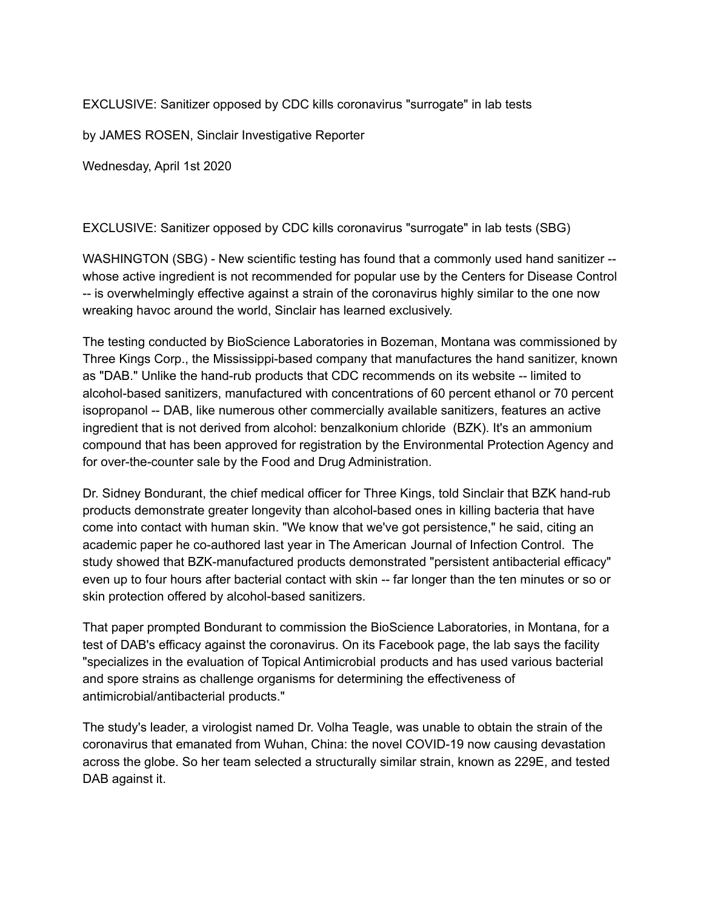EXCLUSIVE: Sanitizer opposed by CDC kills coronavirus "surrogate" in lab tests

by JAMES ROSEN, Sinclair Investigative Reporter

Wednesday, April 1st 2020

EXCLUSIVE: Sanitizer opposed by CDC kills coronavirus "surrogate" in lab tests (SBG)

WASHINGTON (SBG) - New scientific testing has found that a commonly used hand sanitizer - whose active ingredient is not recommended for popular use by the Centers for Disease Control -- is overwhelmingly effective against a strain of the coronavirus highly similar to the one now wreaking havoc around the world, Sinclair has learned exclusively.

The testing conducted by BioScience Laboratories in Bozeman, Montana was commissioned by Three Kings Corp., the Mississippi-based company that manufactures the hand sanitizer, known as "DAB." Unlike the hand-rub products that CDC recommends on its website -- limited to alcohol-based sanitizers, manufactured with concentrations of 60 percent ethanol or 70 percent isopropanol -- DAB, like numerous other commercially available sanitizers, features an active ingredient that is not derived from alcohol: benzalkonium chloride (BZK). It's an ammonium compound that has been approved for registration by the Environmental Protection Agency and for over-the-counter sale by the Food and Drug Administration.

Dr. Sidney Bondurant, the chief medical officer for Three Kings, told Sinclair that BZK hand-rub products demonstrate greater longevity than alcohol-based ones in killing bacteria that have come into contact with human skin. "We know that we've got persistence," he said, citing an academic paper he co-authored last year in The American Journal of Infection Control. The study showed that BZK-manufactured products demonstrated "persistent antibacterial efficacy" even up to four hours after bacterial contact with skin -- far longer than the ten minutes or so or skin protection offered by alcohol-based sanitizers.

That paper prompted Bondurant to commission the BioScience Laboratories, in Montana, for a test of DAB's efficacy against the coronavirus. On its Facebook page, the lab says the facility "specializes in the evaluation of Topical Antimicrobial products and has used various bacterial and spore strains as challenge organisms for determining the effectiveness of antimicrobial/antibacterial products."

The study's leader, a virologist named Dr. Volha Teagle, was unable to obtain the strain of the coronavirus that emanated from Wuhan, China: the novel COVID-19 now causing devastation across the globe. So her team selected a structurally similar strain, known as 229E, and tested DAB against it.